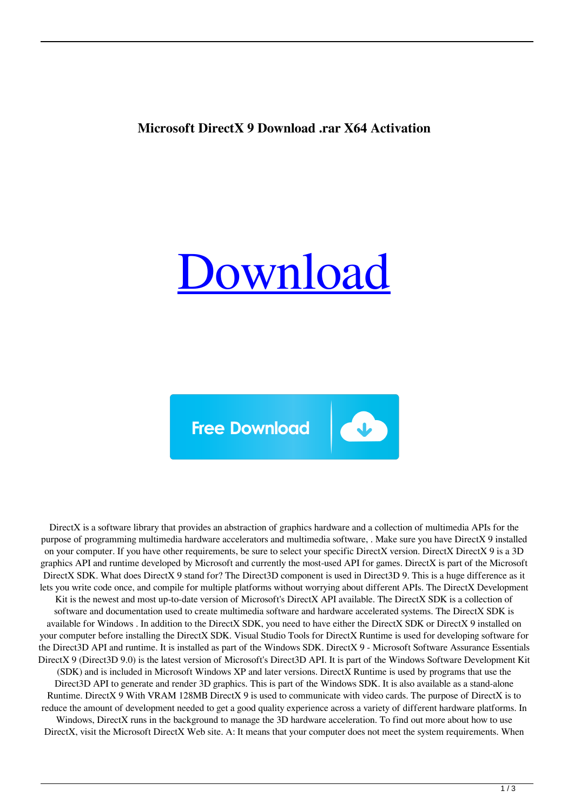## **Microsoft DirectX 9 Download .rar X64 Activation**



 $\bullet$ 

**Free Download** 

DirectX is a software library that provides an abstraction of graphics hardware and a collection of multimedia APIs for the purpose of programming multimedia hardware accelerators and multimedia software, . Make sure you have DirectX 9 installed on your computer. If you have other requirements, be sure to select your specific DirectX version. DirectX DirectX 9 is a 3D graphics API and runtime developed by Microsoft and currently the most-used API for games. DirectX is part of the Microsoft DirectX SDK. What does DirectX 9 stand for? The Direct3D component is used in Direct3D 9. This is a huge difference as it lets you write code once, and compile for multiple platforms without worrying about different APIs. The DirectX Development Kit is the newest and most up-to-date version of Microsoft's DirectX API available. The DirectX SDK is a collection of software and documentation used to create multimedia software and hardware accelerated systems. The DirectX SDK is available for Windows . In addition to the DirectX SDK, you need to have either the DirectX SDK or DirectX 9 installed on your computer before installing the DirectX SDK. Visual Studio Tools for DirectX Runtime is used for developing software for the Direct3D API and runtime. It is installed as part of the Windows SDK. DirectX 9 - Microsoft Software Assurance Essentials DirectX 9 (Direct3D 9.0) is the latest version of Microsoft's Direct3D API. It is part of the Windows Software Development Kit (SDK) and is included in Microsoft Windows XP and later versions. DirectX Runtime is used by programs that use the Direct3D API to generate and render 3D graphics. This is part of the Windows SDK. It is also available as a stand-alone Runtime. DirectX 9 With VRAM 128MB DirectX 9 is used to communicate with video cards. The purpose of DirectX is to reduce the amount of development needed to get a good quality experience across a variety of different hardware platforms. In Windows, DirectX runs in the background to manage the 3D hardware acceleration. To find out more about how to use DirectX, visit the Microsoft DirectX Web site. A: It means that your computer does not meet the system requirements. When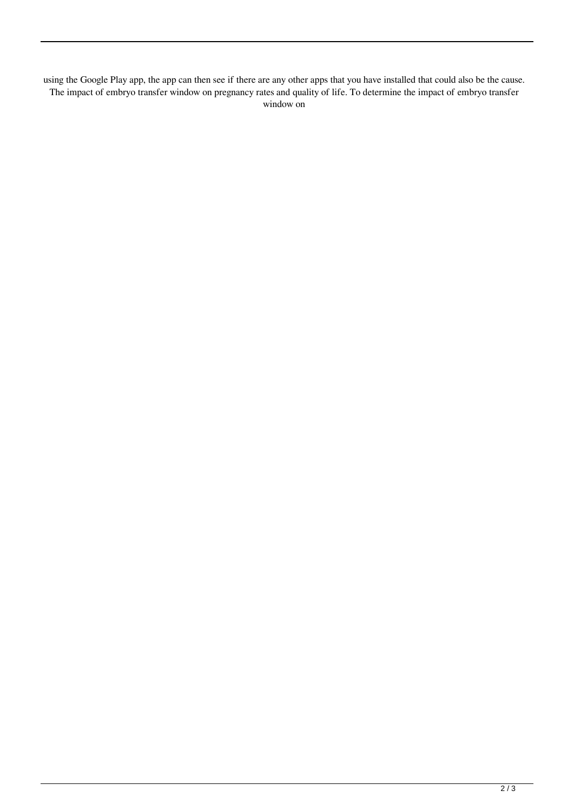using the Google Play app, the app can then see if there are any other apps that you have installed that could also be the cause. The impact of embryo transfer window on pregnancy rates and quality of life. To determine the impact of embryo transfer window on